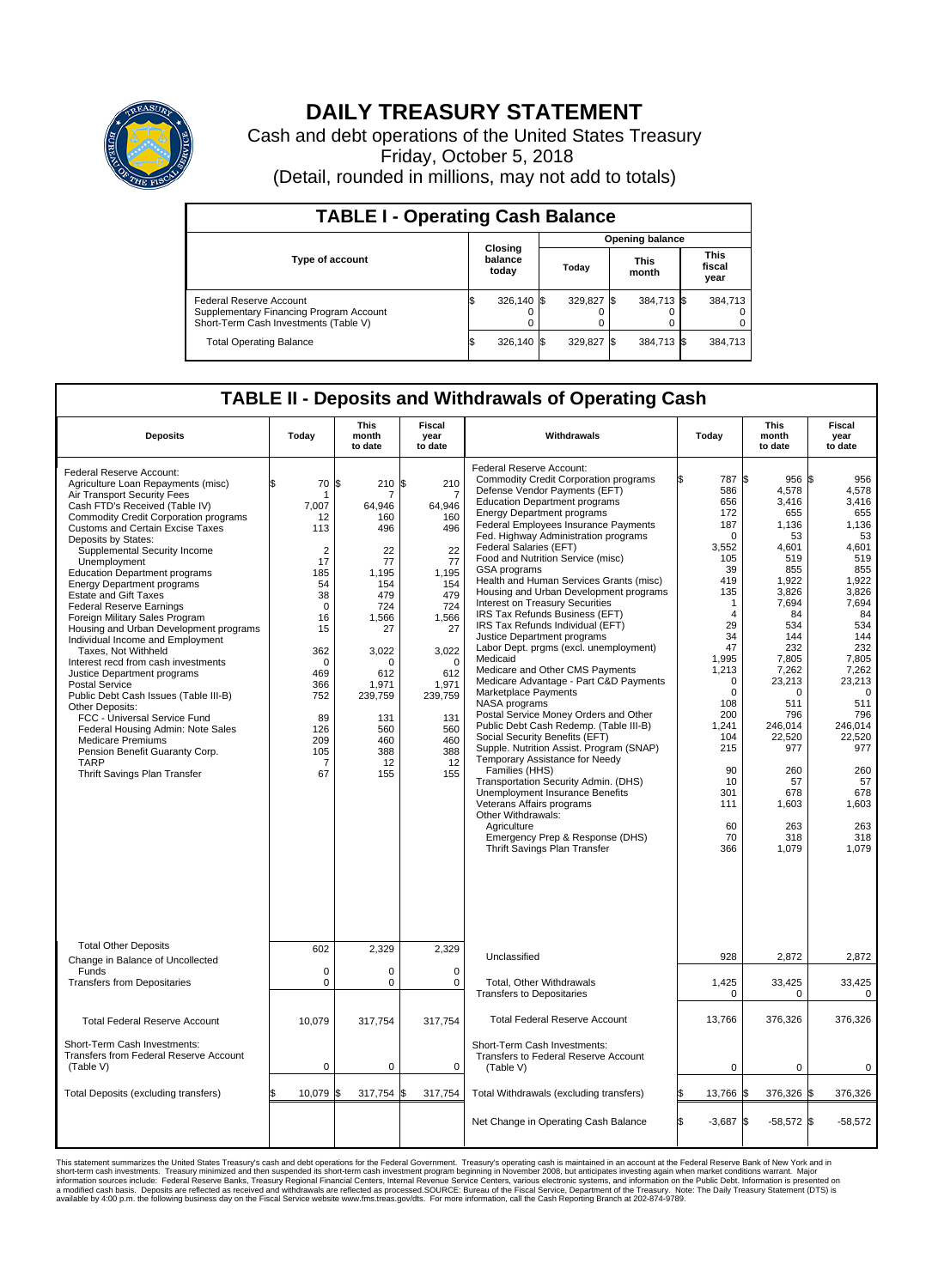

## **DAILY TREASURY STATEMENT**

Cash and debt operations of the United States Treasury Friday, October 5, 2018 (Detail, rounded in millions, may not add to totals)

| <b>TABLE I - Operating Cash Balance</b>                                                                     |                             |            |                        |            |                      |            |                               |         |  |  |
|-------------------------------------------------------------------------------------------------------------|-----------------------------|------------|------------------------|------------|----------------------|------------|-------------------------------|---------|--|--|
|                                                                                                             | Closing<br>balance<br>today |            | <b>Opening balance</b> |            |                      |            |                               |         |  |  |
| Type of account                                                                                             |                             |            | Today                  |            | <b>This</b><br>month |            | <b>This</b><br>fiscal<br>year |         |  |  |
| Federal Reserve Account<br>Supplementary Financing Program Account<br>Short-Term Cash Investments (Table V) |                             | 326.140 \$ |                        | 329,827 \$ |                      | 384,713 \$ |                               | 384,713 |  |  |
| <b>Total Operating Balance</b>                                                                              | ß.                          | 326,140 \$ |                        | 329,827 \$ |                      | 384,713 \$ |                               | 384,713 |  |  |

## **TABLE II - Deposits and Withdrawals of Operating Cash**

| <b>Deposits</b>                                                                                                                                                                                                                                                                                                                                                                                                                                                                                                                                                                                                                                                                                                                                                                                                                                                                                                         | Today                                                                                                                                                                                       | <b>This</b><br>month<br>to date                                                                                                                                                           | <b>Fiscal</b><br>year<br>to date                                                                                                                                                            | Withdrawals                                                                                                                                                                                                                                                                                                                                                                                                                                                                                                                                                                                                                                                                                                                                                                                                                                                                                                                                                                                                                                                                                                                                                                                                       | Today                                                                                                                                                                                                                                                                       | <b>This</b><br>month<br>to date                                                                                                                                                                                                                                                | <b>Fiscal</b><br>year<br>to date                                                                                                                                                                                                                                     |
|-------------------------------------------------------------------------------------------------------------------------------------------------------------------------------------------------------------------------------------------------------------------------------------------------------------------------------------------------------------------------------------------------------------------------------------------------------------------------------------------------------------------------------------------------------------------------------------------------------------------------------------------------------------------------------------------------------------------------------------------------------------------------------------------------------------------------------------------------------------------------------------------------------------------------|---------------------------------------------------------------------------------------------------------------------------------------------------------------------------------------------|-------------------------------------------------------------------------------------------------------------------------------------------------------------------------------------------|---------------------------------------------------------------------------------------------------------------------------------------------------------------------------------------------|-------------------------------------------------------------------------------------------------------------------------------------------------------------------------------------------------------------------------------------------------------------------------------------------------------------------------------------------------------------------------------------------------------------------------------------------------------------------------------------------------------------------------------------------------------------------------------------------------------------------------------------------------------------------------------------------------------------------------------------------------------------------------------------------------------------------------------------------------------------------------------------------------------------------------------------------------------------------------------------------------------------------------------------------------------------------------------------------------------------------------------------------------------------------------------------------------------------------|-----------------------------------------------------------------------------------------------------------------------------------------------------------------------------------------------------------------------------------------------------------------------------|--------------------------------------------------------------------------------------------------------------------------------------------------------------------------------------------------------------------------------------------------------------------------------|----------------------------------------------------------------------------------------------------------------------------------------------------------------------------------------------------------------------------------------------------------------------|
| Federal Reserve Account:<br>Agriculture Loan Repayments (misc)<br>Air Transport Security Fees<br>Cash FTD's Received (Table IV)<br>Commodity Credit Corporation programs<br><b>Customs and Certain Excise Taxes</b><br>Deposits by States:<br>Supplemental Security Income<br>Unemployment<br><b>Education Department programs</b><br><b>Energy Department programs</b><br><b>Estate and Gift Taxes</b><br><b>Federal Reserve Earnings</b><br>Foreign Military Sales Program<br>Housing and Urban Development programs<br>Individual Income and Employment<br>Taxes, Not Withheld<br>Interest recd from cash investments<br>Justice Department programs<br>Postal Service<br>Public Debt Cash Issues (Table III-B)<br>Other Deposits:<br>FCC - Universal Service Fund<br>Federal Housing Admin: Note Sales<br><b>Medicare Premiums</b><br>Pension Benefit Guaranty Corp.<br><b>TARP</b><br>Thrift Savings Plan Transfer | 70<br>\$.<br>1<br>7,007<br>12<br>113<br>$\overline{2}$<br>17<br>185<br>54<br>38<br>$\mathbf 0$<br>16<br>15<br>362<br>$\mathbf 0$<br>469<br>366<br>752<br>89<br>126<br>209<br>105<br>7<br>67 | 1\$<br>210<br>7<br>64,946<br>160<br>496<br>22<br>77<br>1,195<br>154<br>479<br>724<br>1,566<br>27<br>3,022<br>$\Omega$<br>612<br>1,971<br>239,759<br>131<br>560<br>460<br>388<br>12<br>155 | \$<br>210<br>7<br>64,946<br>160<br>496<br>22<br>77<br>1,195<br>154<br>479<br>724<br>1,566<br>27<br>3,022<br>$\mathbf 0$<br>612<br>1,971<br>239,759<br>131<br>560<br>460<br>388<br>12<br>155 | Federal Reserve Account:<br><b>Commodity Credit Corporation programs</b><br>Defense Vendor Payments (EFT)<br><b>Education Department programs</b><br><b>Energy Department programs</b><br><b>Federal Employees Insurance Payments</b><br>Fed. Highway Administration programs<br>Federal Salaries (EFT)<br>Food and Nutrition Service (misc)<br><b>GSA</b> programs<br>Health and Human Services Grants (misc)<br>Housing and Urban Development programs<br>Interest on Treasury Securities<br>IRS Tax Refunds Business (EFT)<br>IRS Tax Refunds Individual (EFT)<br>Justice Department programs<br>Labor Dept. prgms (excl. unemployment)<br>Medicaid<br>Medicare and Other CMS Payments<br>Medicare Advantage - Part C&D Payments<br>Marketplace Payments<br>NASA programs<br>Postal Service Money Orders and Other<br>Public Debt Cash Redemp. (Table III-B)<br>Social Security Benefits (EFT)<br>Supple. Nutrition Assist. Program (SNAP)<br>Temporary Assistance for Needy<br>Families (HHS)<br>Transportation Security Admin. (DHS)<br>Unemployment Insurance Benefits<br>Veterans Affairs programs<br>Other Withdrawals:<br>Agriculture<br>Emergency Prep & Response (DHS)<br>Thrift Savings Plan Transfer | 787 \$<br>586<br>656<br>172<br>187<br>$\mathbf 0$<br>3,552<br>105<br>39<br>419<br>135<br>$\mathbf{1}$<br>$\overline{4}$<br>29<br>34<br>47<br>1,995<br>1,213<br>$\mathbf 0$<br>$\mathbf 0$<br>108<br>200<br>1,241<br>104<br>215<br>90<br>10<br>301<br>111<br>60<br>70<br>366 | $956$ $\frac{1}{3}$<br>4,578<br>3,416<br>655<br>1,136<br>53<br>4,601<br>519<br>855<br>1,922<br>3,826<br>7,694<br>84<br>534<br>144<br>232<br>7,805<br>7,262<br>23,213<br>$\Omega$<br>511<br>796<br>246,014<br>22.520<br>977<br>260<br>57<br>678<br>1,603<br>263<br>318<br>1,079 | 956<br>4,578<br>3,416<br>655<br>1,136<br>53<br>4,601<br>519<br>855<br>1,922<br>3,826<br>7,694<br>84<br>534<br>144<br>232<br>7,805<br>7,262<br>23,213<br>$\overline{0}$<br>511<br>796<br>246,014<br>22.520<br>977<br>260<br>57<br>678<br>1,603<br>263<br>318<br>1.079 |
| <b>Total Other Deposits</b><br>Change in Balance of Uncollected                                                                                                                                                                                                                                                                                                                                                                                                                                                                                                                                                                                                                                                                                                                                                                                                                                                         | 602                                                                                                                                                                                         | 2,329                                                                                                                                                                                     | 2,329                                                                                                                                                                                       | Unclassified                                                                                                                                                                                                                                                                                                                                                                                                                                                                                                                                                                                                                                                                                                                                                                                                                                                                                                                                                                                                                                                                                                                                                                                                      | 928                                                                                                                                                                                                                                                                         | 2,872                                                                                                                                                                                                                                                                          | 2,872                                                                                                                                                                                                                                                                |
| Funds<br><b>Transfers from Depositaries</b>                                                                                                                                                                                                                                                                                                                                                                                                                                                                                                                                                                                                                                                                                                                                                                                                                                                                             | $\mathbf 0$<br>$\mathbf 0$                                                                                                                                                                  | 0<br>0                                                                                                                                                                                    | $\mathbf 0$<br>$\Omega$                                                                                                                                                                     | Total, Other Withdrawals<br><b>Transfers to Depositaries</b>                                                                                                                                                                                                                                                                                                                                                                                                                                                                                                                                                                                                                                                                                                                                                                                                                                                                                                                                                                                                                                                                                                                                                      | 1,425<br>$\mathbf 0$                                                                                                                                                                                                                                                        | 33,425<br>0                                                                                                                                                                                                                                                                    | 33,425<br>$\mathbf 0$                                                                                                                                                                                                                                                |
| <b>Total Federal Reserve Account</b>                                                                                                                                                                                                                                                                                                                                                                                                                                                                                                                                                                                                                                                                                                                                                                                                                                                                                    | 10,079                                                                                                                                                                                      | 317,754                                                                                                                                                                                   | 317,754                                                                                                                                                                                     | <b>Total Federal Reserve Account</b>                                                                                                                                                                                                                                                                                                                                                                                                                                                                                                                                                                                                                                                                                                                                                                                                                                                                                                                                                                                                                                                                                                                                                                              | 13,766                                                                                                                                                                                                                                                                      | 376,326                                                                                                                                                                                                                                                                        | 376,326                                                                                                                                                                                                                                                              |
| Short-Term Cash Investments:<br><b>Transfers from Federal Reserve Account</b><br>(Table V)                                                                                                                                                                                                                                                                                                                                                                                                                                                                                                                                                                                                                                                                                                                                                                                                                              | $\mathbf 0$                                                                                                                                                                                 | 0                                                                                                                                                                                         | $\mathbf 0$                                                                                                                                                                                 | Short-Term Cash Investments:<br>Transfers to Federal Reserve Account<br>(Table V)                                                                                                                                                                                                                                                                                                                                                                                                                                                                                                                                                                                                                                                                                                                                                                                                                                                                                                                                                                                                                                                                                                                                 | $\mathbf 0$                                                                                                                                                                                                                                                                 | $\mathbf 0$                                                                                                                                                                                                                                                                    | $\mathbf 0$                                                                                                                                                                                                                                                          |
| Total Deposits (excluding transfers)                                                                                                                                                                                                                                                                                                                                                                                                                                                                                                                                                                                                                                                                                                                                                                                                                                                                                    | 10,079                                                                                                                                                                                      | 317,754<br>ß.                                                                                                                                                                             | 317,754<br>\$                                                                                                                                                                               | Total Withdrawals (excluding transfers)                                                                                                                                                                                                                                                                                                                                                                                                                                                                                                                                                                                                                                                                                                                                                                                                                                                                                                                                                                                                                                                                                                                                                                           | 13,766 \$                                                                                                                                                                                                                                                                   | 376,326 \$                                                                                                                                                                                                                                                                     | 376,326                                                                                                                                                                                                                                                              |
|                                                                                                                                                                                                                                                                                                                                                                                                                                                                                                                                                                                                                                                                                                                                                                                                                                                                                                                         |                                                                                                                                                                                             |                                                                                                                                                                                           |                                                                                                                                                                                             | Net Change in Operating Cash Balance                                                                                                                                                                                                                                                                                                                                                                                                                                                                                                                                                                                                                                                                                                                                                                                                                                                                                                                                                                                                                                                                                                                                                                              | \$.<br>$-3,687$ \$                                                                                                                                                                                                                                                          | $-58,572$ \$                                                                                                                                                                                                                                                                   | $-58,572$                                                                                                                                                                                                                                                            |

This statement summarizes the United States Treasury's cash and debt operations for the Federal Government. Treasury soperating in November 2008, but anticiarded in a cocount at the Federal Reserve Bank of New York and in<br>